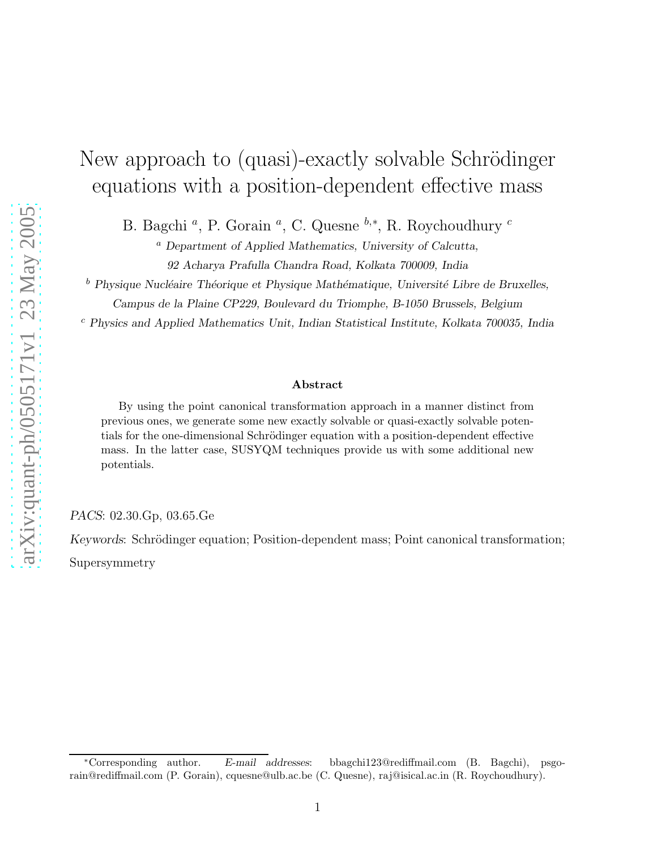# New approach to (quasi)-exactly solvable Schrödinger equations with a position-dependent effective mass

B. Bagchi<sup>a</sup>, P. Gorain<sup>a</sup>, C. Quesne<sup>b,\*</sup>, R. Roychoudhury<sup>c</sup>

 $a$  Department of Applied Mathematics, University of Calcutta,

92 Acharya Prafulla Chandra Road, Kolkata 700009, India

 $b$  Physique Nucléaire Théorique et Physique Mathématique, Université Libre de Bruxelles,

Campus de la Plaine CP229, Boulevard du Triomphe, B-1050 Brussels, Belgium

<sup>c</sup> Physics and Applied Mathematics Unit, Indian Statistical Institute, Kolkata 700035, India

#### Abstract

By using the point canonical transformation approach in a manner distinct from previous ones, we generate some new exactly solvable or quasi-exactly solvable potentials for the one-dimensional Schrödinger equation with a position-dependent effective mass. In the latter case, SUSYQM techniques provide us with some additional new potentials.

PACS: 02.30.Gp, 03.65.Ge

Keywords: Schrödinger equation; Position-dependent mass; Point canonical transformation; Supersymmetry

<sup>∗</sup>Corresponding author. E-mail addresses: bbagchi123@rediffmail.com (B. Bagchi), psgorain@rediffmail.com (P. Gorain), cquesne@ulb.ac.be (C. Quesne), raj@isical.ac.in (R. Roychoudhury).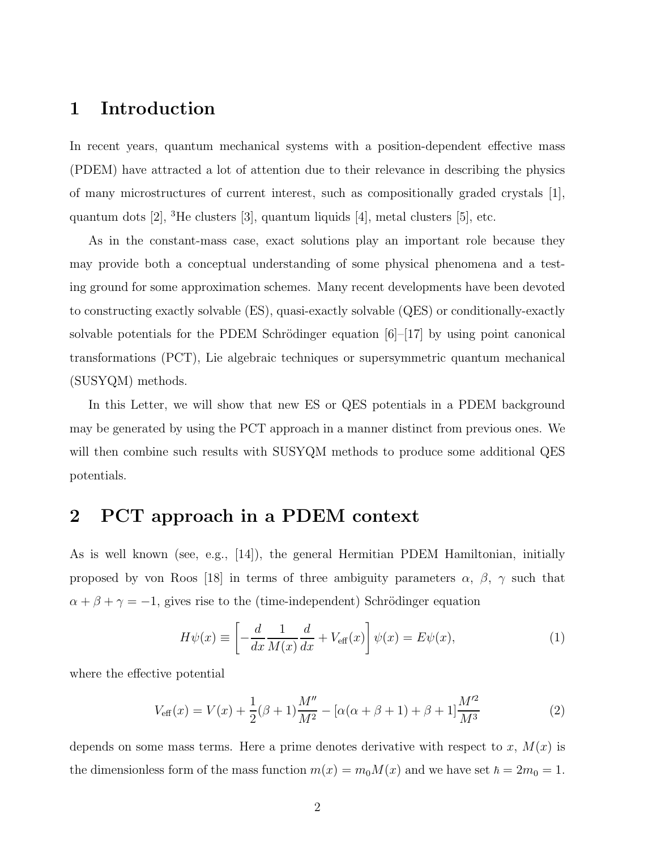### 1 Introduction

In recent years, quantum mechanical systems with a position-dependent effective mass (PDEM) have attracted a lot of attention due to their relevance in describing the physics of many microstructures of current interest, such as compositionally graded crystals [1], quantum dots  $[2]$ , <sup>3</sup>He clusters  $[3]$ , quantum liquids  $[4]$ , metal clusters  $[5]$ , etc.

As in the constant-mass case, exact solutions play an important role because they may provide both a conceptual understanding of some physical phenomena and a testing ground for some approximation schemes. Many recent developments have been devoted to constructing exactly solvable (ES), quasi-exactly solvable (QES) or conditionally-exactly solvable potentials for the PDEM Schrödinger equation  $[6]-[17]$  by using point canonical transformations (PCT), Lie algebraic techniques or supersymmetric quantum mechanical (SUSYQM) methods.

In this Letter, we will show that new ES or QES potentials in a PDEM background may be generated by using the PCT approach in a manner distinct from previous ones. We will then combine such results with SUSYQM methods to produce some additional QES potentials.

### 2 PCT approach in a PDEM context

As is well known (see, e.g., [14]), the general Hermitian PDEM Hamiltonian, initially proposed by von Roos [18] in terms of three ambiguity parameters  $\alpha$ ,  $\beta$ ,  $\gamma$  such that  $\alpha + \beta + \gamma = -1$ , gives rise to the (time-independent) Schrödinger equation

$$
H\psi(x) \equiv \left[ -\frac{d}{dx} \frac{1}{M(x)} \frac{d}{dx} + V_{\text{eff}}(x) \right] \psi(x) = E\psi(x),\tag{1}
$$

where the effective potential

$$
V_{\text{eff}}(x) = V(x) + \frac{1}{2}(\beta + 1)\frac{M''}{M^2} - [\alpha(\alpha + \beta + 1) + \beta + 1]\frac{M'^2}{M^3}
$$
(2)

depends on some mass terms. Here a prime denotes derivative with respect to x,  $M(x)$  is the dimensionless form of the mass function  $m(x) = m_0 M(x)$  and we have set  $\hbar = 2m_0 = 1$ .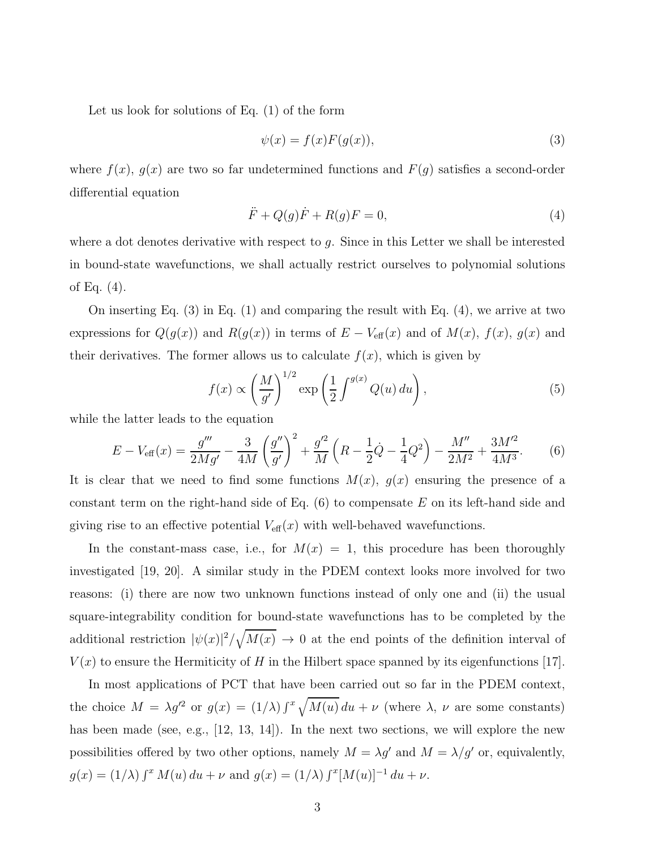Let us look for solutions of Eq. (1) of the form

$$
\psi(x) = f(x)F(g(x)),\tag{3}
$$

where  $f(x)$ ,  $g(x)$  are two so far undetermined functions and  $F(g)$  satisfies a second-order differential equation

$$
\ddot{F} + Q(g)\dot{F} + R(g)F = 0,\tag{4}
$$

where a dot denotes derivative with respect to g. Since in this Letter we shall be interested in bound-state wavefunctions, we shall actually restrict ourselves to polynomial solutions of Eq. (4).

On inserting Eq. (3) in Eq. (1) and comparing the result with Eq. (4), we arrive at two expressions for  $Q(g(x))$  and  $R(g(x))$  in terms of  $E - V_{\text{eff}}(x)$  and of  $M(x)$ ,  $f(x)$ ,  $g(x)$  and their derivatives. The former allows us to calculate  $f(x)$ , which is given by

$$
f(x) \propto \left(\frac{M}{g'}\right)^{1/2} \exp\left(\frac{1}{2} \int^{g(x)} Q(u) \, du\right),\tag{5}
$$

while the latter leads to the equation

$$
E - V_{\text{eff}}(x) = \frac{g'''}{2Mg'} - \frac{3}{4M} \left(\frac{g''}{g'}\right)^2 + \frac{g'^2}{M} \left(R - \frac{1}{2}\dot{Q} - \frac{1}{4}Q^2\right) - \frac{M''}{2M^2} + \frac{3M'^2}{4M^3}.\tag{6}
$$

It is clear that we need to find some functions  $M(x)$ ,  $g(x)$  ensuring the presence of a constant term on the right-hand side of Eq.  $(6)$  to compensate E on its left-hand side and giving rise to an effective potential  $V_{\text{eff}}(x)$  with well-behaved wavefunctions.

In the constant-mass case, i.e., for  $M(x) = 1$ , this procedure has been thoroughly investigated [19, 20]. A similar study in the PDEM context looks more involved for two reasons: (i) there are now two unknown functions instead of only one and (ii) the usual square-integrability condition for bound-state wavefunctions has to be completed by the additional restriction  $|\psi(x)|^2 / \sqrt{M(x)} \to 0$  at the end points of the definition interval of  $V(x)$  to ensure the Hermiticity of H in the Hilbert space spanned by its eigenfunctions [17].

In most applications of PCT that have been carried out so far in the PDEM context, the choice  $M = \lambda g'^2$  or  $g(x) = (1/\lambda) \int^x \sqrt{M(u)} du + \nu$  (where  $\lambda$ ,  $\nu$  are some constants) has been made (see, e.g., [12, 13, 14]). In the next two sections, we will explore the new possibilities offered by two other options, namely  $M = \lambda g'$  and  $M = \lambda / g'$  or, equivalently,  $g(x) = (1/\lambda) \int^x M(u) \, du + \nu$  and  $g(x) = (1/\lambda) \int^x [M(u)]^{-1} \, du + \nu$ .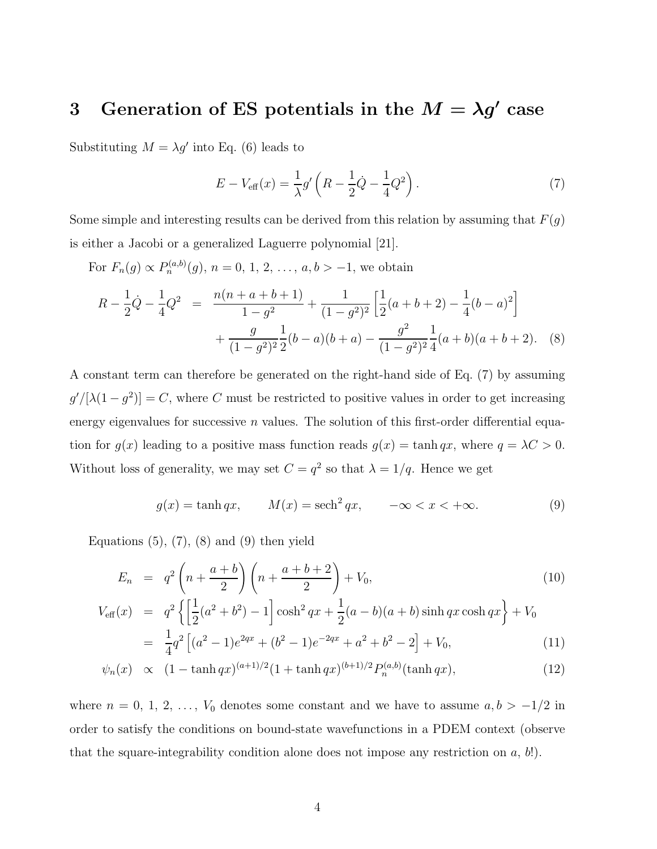# 3 Generation of ES potentials in the  $M = \lambda g'$  case

Substituting  $M = \lambda g'$  into Eq. (6) leads to

$$
E - V_{\text{eff}}(x) = \frac{1}{\lambda} g' \left( R - \frac{1}{2} \dot{Q} - \frac{1}{4} Q^2 \right).
$$
 (7)

Some simple and interesting results can be derived from this relation by assuming that  $F(g)$ is either a Jacobi or a generalized Laguerre polynomial [21].

For  $F_n(g) \propto P_n^{(a,b)}(g)$ ,  $n = 0, 1, 2, ..., a, b > -1$ , we obtain

$$
R - \frac{1}{2}\dot{Q} - \frac{1}{4}Q^2 = \frac{n(n+a+b+1)}{1-g^2} + \frac{1}{(1-g^2)^2} \left[ \frac{1}{2}(a+b+2) - \frac{1}{4}(b-a)^2 \right] + \frac{g}{(1-g^2)^2} \frac{1}{2}(b-a)(b+a) - \frac{g^2}{(1-g^2)^2} \frac{1}{4}(a+b)(a+b+2). \quad (8)
$$

A constant term can therefore be generated on the right-hand side of Eq. (7) by assuming  $g' / [\lambda(1 - g^2)] = C$ , where C must be restricted to positive values in order to get increasing energy eigenvalues for successive  $n$  values. The solution of this first-order differential equation for  $g(x)$  leading to a positive mass function reads  $g(x) = \tanh qx$ , where  $q = \lambda C > 0$ . Without loss of generality, we may set  $C = q^2$  so that  $\lambda = 1/q$ . Hence we get

$$
g(x) = \tanh qx, \qquad M(x) = \operatorname{sech}^2 qx, \qquad -\infty < x < +\infty. \tag{9}
$$

Equations  $(5)$ ,  $(7)$ ,  $(8)$  and  $(9)$  then yield

$$
E_n = q^2 \left( n + \frac{a+b}{2} \right) \left( n + \frac{a+b+2}{2} \right) + V_0, \tag{10}
$$

$$
V_{\text{eff}}(x) = q^2 \left\{ \left[ \frac{1}{2} (a^2 + b^2) - 1 \right] \cosh^2 qx + \frac{1}{2} (a - b)(a + b) \sinh qx \cosh qx \right\} + V_0
$$

$$
= \frac{1}{4}q^2 \left[ (a^2 - 1)e^{2qx} + (b^2 - 1)e^{-2qx} + a^2 + b^2 - 2 \right] + V_0,
$$
\n(11)

$$
\psi_n(x) \propto (1 - \tanh qx)^{(a+1)/2} (1 + \tanh qx)^{(b+1)/2} P_n^{(a,b)}(\tanh qx), \tag{12}
$$

where  $n = 0, 1, 2, \ldots, V_0$  denotes some constant and we have to assume  $a, b > -1/2$  in order to satisfy the conditions on bound-state wavefunctions in a PDEM context (observe that the square-integrability condition alone does not impose any restriction on  $a, b$ !).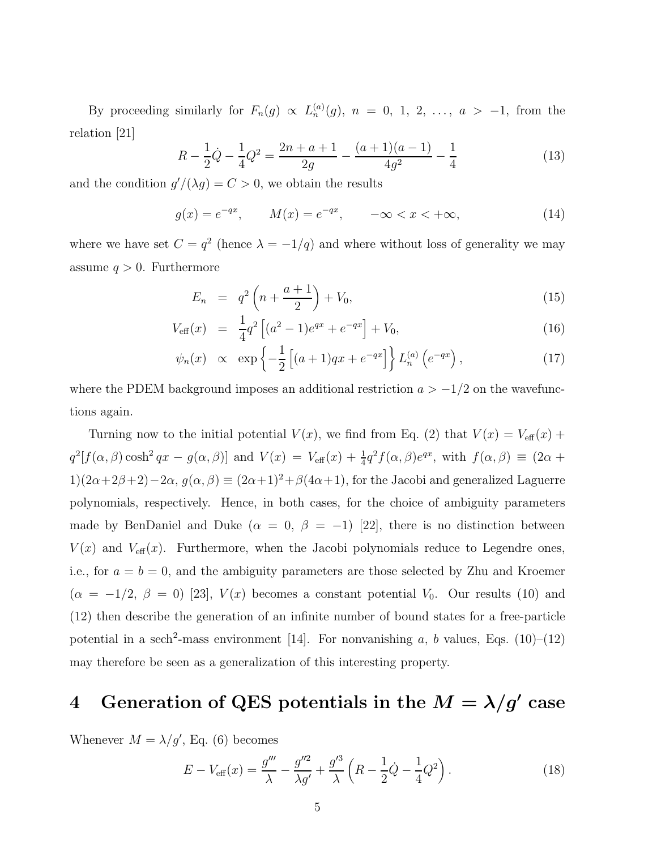By proceeding similarly for  $F_n(g) \propto L_n^{(a)}(g)$ ,  $n = 0, 1, 2, ..., a > -1$ , from the relation [21]

$$
R - \frac{1}{2}\dot{Q} - \frac{1}{4}Q^2 = \frac{2n + a + 1}{2g} - \frac{(a+1)(a-1)}{4g^2} - \frac{1}{4}
$$
(13)

and the condition  $g'/( \lambda g) = C > 0$ , we obtain the results

$$
g(x) = e^{-qx}
$$
,  $M(x) = e^{-qx}$ ,  $-\infty < x < +\infty$ , (14)

where we have set  $C = q^2$  (hence  $\lambda = -1/q$ ) and where without loss of generality we may assume  $q > 0$ . Furthermore

$$
E_n = q^2 \left( n + \frac{a+1}{2} \right) + V_0, \tag{15}
$$

$$
V_{\text{eff}}(x) = \frac{1}{4}q^2 \left[ (a^2 - 1)e^{qx} + e^{-qx} \right] + V_0, \tag{16}
$$

$$
\psi_n(x) \propto \exp\left\{-\frac{1}{2}\left[(a+1)qx + e^{-qx}\right]\right\}L_n^{(a)}\left(e^{-qx}\right),\tag{17}
$$

where the PDEM background imposes an additional restriction  $a > -1/2$  on the wavefunctions again.

Turning now to the initial potential  $V(x)$ , we find from Eq. (2) that  $V(x) = V_{\text{eff}}(x) +$  $q^2[f(\alpha,\beta)\cosh^2qx - g(\alpha,\beta)]$  and  $V(x) = V_{\text{eff}}(x) + \frac{1}{4}q^2f(\alpha,\beta)e^{qx}$ , with  $f(\alpha,\beta) \equiv (2\alpha +$ 1) $(2\alpha+2\beta+2)-2\alpha$ ,  $g(\alpha,\beta) \equiv (2\alpha+1)^2+\beta(4\alpha+1)$ , for the Jacobi and generalized Laguerre polynomials, respectively. Hence, in both cases, for the choice of ambiguity parameters made by BenDaniel and Duke ( $\alpha = 0, \beta = -1$ ) [22], there is no distinction between  $V(x)$  and  $V_{\text{eff}}(x)$ . Furthermore, when the Jacobi polynomials reduce to Legendre ones, i.e., for  $a = b = 0$ , and the ambiguity parameters are those selected by Zhu and Kroemer  $(\alpha = -1/2, \beta = 0)$  [23],  $V(x)$  becomes a constant potential  $V_0$ . Our results (10) and (12) then describe the generation of an infinite number of bound states for a free-particle potential in a sech<sup>2</sup>-mass environment [14]. For nonvanishing a, b values, Eqs. (10)–(12) may therefore be seen as a generalization of this interesting property.

## 4 Generation of QES potentials in the  $M = \lambda/g'$  case

Whenever  $M = \lambda/g'$ , Eq. (6) becomes

$$
E - V_{\text{eff}}(x) = \frac{g'''}{\lambda} - \frac{g''^2}{\lambda g'} + \frac{g'^3}{\lambda} \left( R - \frac{1}{2} \dot{Q} - \frac{1}{4} Q^2 \right).
$$
 (18)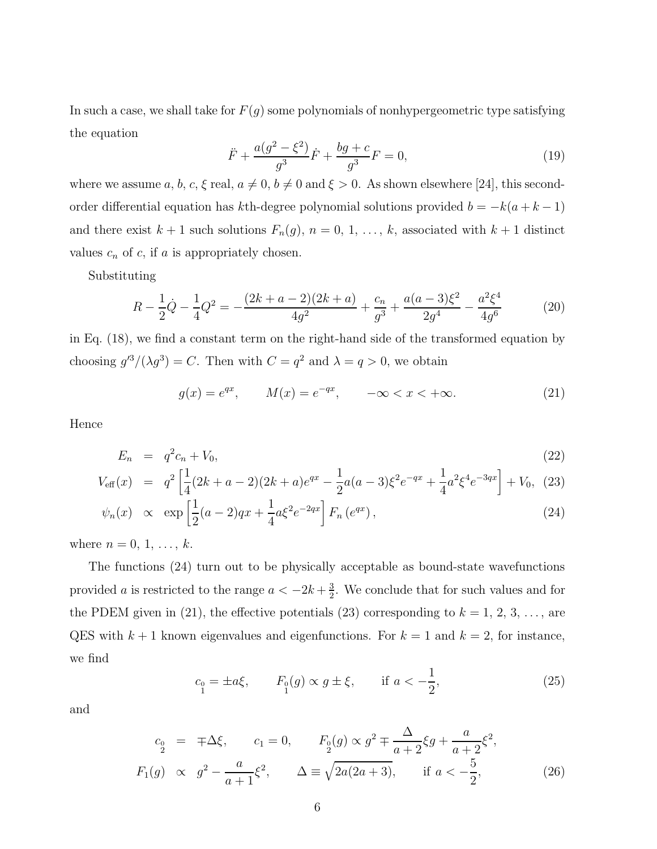In such a case, we shall take for  $F(g)$  some polynomials of nonhypergeometric type satisfying the equation

$$
\ddot{F} + \frac{a(g^2 - \xi^2)}{g^3} \dot{F} + \frac{bg + c}{g^3} F = 0,
$$
\n(19)

where we assume a, b, c,  $\xi$  real,  $a \neq 0$ ,  $b \neq 0$  and  $\xi > 0$ . As shown elsewhere [24], this secondorder differential equation has kth-degree polynomial solutions provided  $b = -k(a + k - 1)$ and there exist  $k + 1$  such solutions  $F_n(g)$ ,  $n = 0, 1, \ldots, k$ , associated with  $k + 1$  distinct values  $c_n$  of  $c$ , if  $a$  is appropriately chosen.

Substituting

$$
R - \frac{1}{2}\dot{Q} - \frac{1}{4}Q^2 = -\frac{(2k+a-2)(2k+a)}{4g^2} + \frac{c_n}{g^3} + \frac{a(a-3)\xi^2}{2g^4} - \frac{a^2\xi^4}{4g^6}
$$
(20)

in Eq. (18), we find a constant term on the right-hand side of the transformed equation by choosing  $g'^3/(\lambda g^3) = C$ . Then with  $C = q^2$  and  $\lambda = q > 0$ , we obtain

$$
g(x) = e^{qx}
$$
,  $M(x) = e^{-qx}$ ,  $-\infty < x < +\infty$ . (21)

Hence

$$
E_n = q^2 c_n + V_0,\tag{22}
$$

$$
V_{\text{eff}}(x) = q^2 \left[ \frac{1}{4} (2k + a - 2)(2k + a)e^{qx} - \frac{1}{2} a(a - 3)\xi^2 e^{-qx} + \frac{1}{4} a^2 \xi^4 e^{-3qx} \right] + V_0, (23)
$$

$$
\psi_n(x) \propto \exp\left[\frac{1}{2}(a-2)qx + \frac{1}{4}a\xi^2e^{-2qx}\right]F_n(e^{qx}),
$$
\n(24)

where  $n = 0, 1, ..., k$ .

The functions (24) turn out to be physically acceptable as bound-state wavefunctions provided *a* is restricted to the range  $a < -2k + \frac{3}{2}$  $\frac{3}{2}$ . We conclude that for such values and for the PDEM given in (21), the effective potentials (23) corresponding to  $k = 1, 2, 3, \ldots$ , are QES with  $k + 1$  known eigenvalues and eigenfunctions. For  $k = 1$  and  $k = 2$ , for instance, we find

$$
c_0 = \pm a\xi, \qquad F_0(g) \propto g \pm \xi, \qquad \text{if } a < -\frac{1}{2}, \tag{25}
$$

and

$$
c_0 = \mp \Delta \xi, \qquad c_1 = 0, \qquad F_0(g) \propto g^2 \mp \frac{\Delta}{a+2} \xi g + \frac{a}{a+2} \xi^2,
$$
  

$$
F_1(g) \propto g^2 - \frac{a}{a+1} \xi^2, \qquad \Delta \equiv \sqrt{2a(2a+3)}, \qquad \text{if } a < -\frac{5}{2}, \tag{26}
$$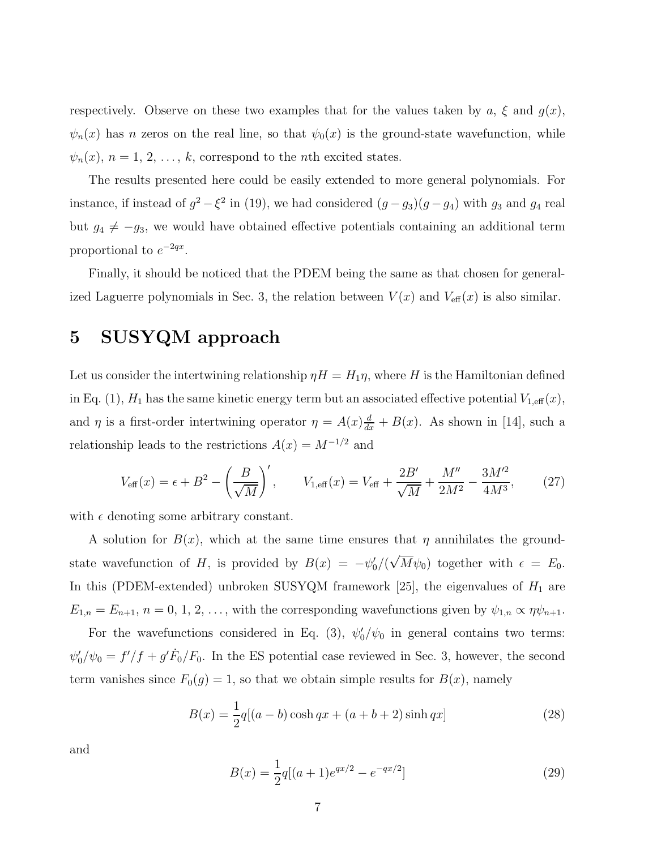respectively. Observe on these two examples that for the values taken by  $a, \xi$  and  $g(x)$ ,  $\psi_n(x)$  has n zeros on the real line, so that  $\psi_0(x)$  is the ground-state wavefunction, while  $\psi_n(x)$ ,  $n = 1, 2, \ldots, k$ , correspond to the *n*th excited states.

The results presented here could be easily extended to more general polynomials. For instance, if instead of  $g^2 - \xi^2$  in (19), we had considered  $(g - g_3)(g - g_4)$  with  $g_3$  and  $g_4$  real but  $g_4 \neq -g_3$ , we would have obtained effective potentials containing an additional term proportional to  $e^{-2qx}$ .

Finally, it should be noticed that the PDEM being the same as that chosen for generalized Laguerre polynomials in Sec. 3, the relation between  $V(x)$  and  $V_{\text{eff}}(x)$  is also similar.

### 5 SUSYQM approach

Let us consider the intertwining relationship  $\eta H = H_1 \eta$ , where H is the Hamiltonian defined in Eq. (1),  $H_1$  has the same kinetic energy term but an associated effective potential  $V_{1,\text{eff}}(x)$ , and  $\eta$  is a first-order intertwining operator  $\eta = A(x) \frac{d}{dx} + B(x)$ . As shown in [14], such a relationship leads to the restrictions  $A(x) = M^{-1/2}$  and

$$
V_{\text{eff}}(x) = \epsilon + B^2 - \left(\frac{B}{\sqrt{M}}\right)', \qquad V_{1,\text{eff}}(x) = V_{\text{eff}} + \frac{2B'}{\sqrt{M}} + \frac{M''}{2M^2} - \frac{3M'^2}{4M^3},\tag{27}
$$

with  $\epsilon$  denoting some arbitrary constant.

A solution for  $B(x)$ , which at the same time ensures that  $\eta$  annihilates the groundstate wavefunction of H, is provided by  $B(x) = -\psi_0^y$  $\sqrt{\sqrt{M}}\psi_0$  together with  $\epsilon = E_0$ . In this (PDEM-extended) unbroken SUSYQM framework [25], the eigenvalues of  $H_1$  are  $E_{1,n} = E_{n+1}, n = 0, 1, 2, \ldots$ , with the corresponding wavefunctions given by  $\psi_{1,n} \propto \eta \psi_{n+1}$ .

For the wavefunctions considered in Eq. (3),  $\psi_0'$  $\frac{1}{0}$  / $\psi_0$  in general contains two terms:  $\psi'_0$  $\int_0^t \sqrt{y_0} = f'/f + g' \dot{F}_0/F_0$ . In the ES potential case reviewed in Sec. 3, however, the second term vanishes since  $F_0(g) = 1$ , so that we obtain simple results for  $B(x)$ , namely

$$
B(x) = \frac{1}{2}q[(a-b)\cosh qx + (a+b+2)\sinh qx]
$$
 (28)

and

$$
B(x) = \frac{1}{2}q[(a+1)e^{qx/2} - e^{-qx/2}]
$$
\n(29)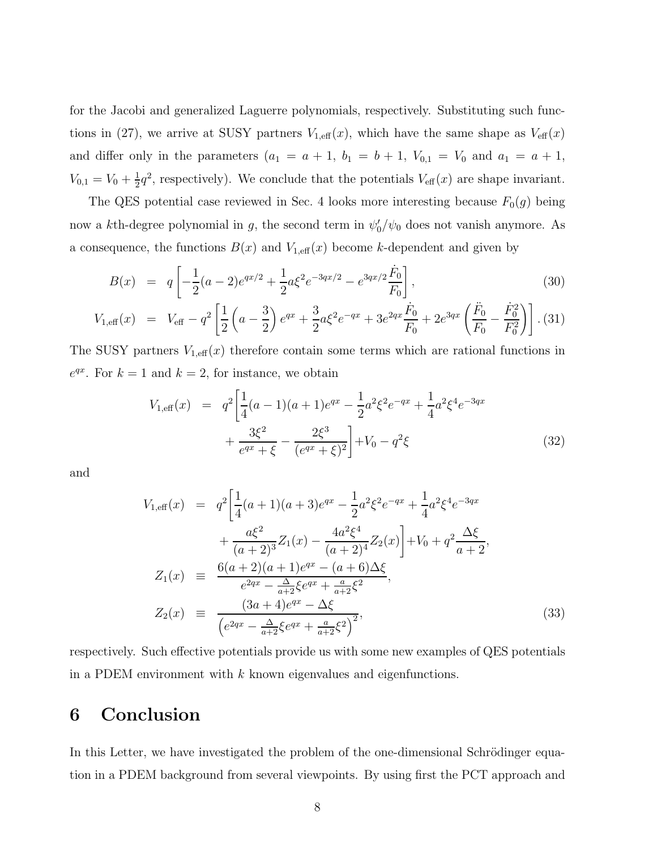for the Jacobi and generalized Laguerre polynomials, respectively. Substituting such functions in (27), we arrive at SUSY partners  $V_{1,\text{eff}}(x)$ , which have the same shape as  $V_{\text{eff}}(x)$ and differ only in the parameters  $(a_1 = a + 1, b_1 = b + 1, V_{0,1} = V_0$  and  $a_1 = a + 1$ ,  $V_{0,1} = V_0 + \frac{1}{2}$  $\frac{1}{2}q^2$ , respectively). We conclude that the potentials  $V_{\text{eff}}(x)$  are shape invariant.

The QES potential case reviewed in Sec. 4 looks more interesting because  $F_0(g)$  being now a k<sup>th</sup>-degree polynomial in g, the second term in  $\psi_0'$  $\frac{1}{0}/\psi_0$  does not vanish anymore. As a consequence, the functions  $B(x)$  and  $V_{1,\text{eff}}(x)$  become k-dependent and given by

$$
B(x) = q \left[ -\frac{1}{2}(a-2)e^{qx/2} + \frac{1}{2}a\xi^2 e^{-3qx/2} - e^{3qx/2} \frac{\dot{F}_0}{F_0} \right],
$$
\n(30)

$$
V_{1,\text{eff}}(x) = V_{\text{eff}} - q^2 \left[ \frac{1}{2} \left( a - \frac{3}{2} \right) e^{qx} + \frac{3}{2} a \xi^2 e^{-qx} + 3 e^{2qx} \frac{\dot{F}_0}{F_0} + 2 e^{3qx} \left( \frac{\ddot{F}_0}{F_0} - \frac{\dot{F}_0^2}{F_0^2} \right) \right]. (31)
$$

The SUSY partners  $V_{1,\text{eff}}(x)$  therefore contain some terms which are rational functions in  $e^{qx}$ . For  $k = 1$  and  $k = 2$ , for instance, we obtain

$$
V_{1,\text{eff}}(x) = q^2 \left[ \frac{1}{4} (a-1)(a+1)e^{qx} - \frac{1}{2} a^2 \xi^2 e^{-qx} + \frac{1}{4} a^2 \xi^4 e^{-3qx} + \frac{3\xi^2}{e^{qx} + \xi} - \frac{2\xi^3}{(e^{qx} + \xi)^2} \right] + V_0 - q^2 \xi
$$
\n(32)

and

$$
V_{1,eff}(x) = q^{2} \left[ \frac{1}{4} (a+1)(a+3)e^{qx} - \frac{1}{2} a^{2} \xi^{2} e^{-qx} + \frac{1}{4} a^{2} \xi^{4} e^{-3qx} + \frac{a\xi^{2}}{(a+2)^{3}} Z_{1}(x) - \frac{4a^{2}\xi^{4}}{(a+2)^{4}} Z_{2}(x) \right] + V_{0} + q^{2} \frac{\Delta\xi}{a+2},
$$
  
\n
$$
Z_{1}(x) = \frac{6(a+2)(a+1)e^{qx} - (a+6)\Delta\xi}{e^{2qx} - \frac{\Delta}{a+2}\xi e^{qx} + \frac{a}{a+2}\xi^{2}},
$$
  
\n
$$
Z_{2}(x) = \frac{(3a+4)e^{qx} - \Delta\xi}{(e^{2qx} - \frac{\Delta}{a+2}\xi e^{qx} + \frac{a}{a+2}\xi^{2})^{2}},
$$
\n(33)

respectively. Such effective potentials provide us with some new examples of QES potentials in a PDEM environment with  $k$  known eigenvalues and eigenfunctions.

### 6 Conclusion

In this Letter, we have investigated the problem of the one-dimensional Schrödinger equation in a PDEM background from several viewpoints. By using first the PCT approach and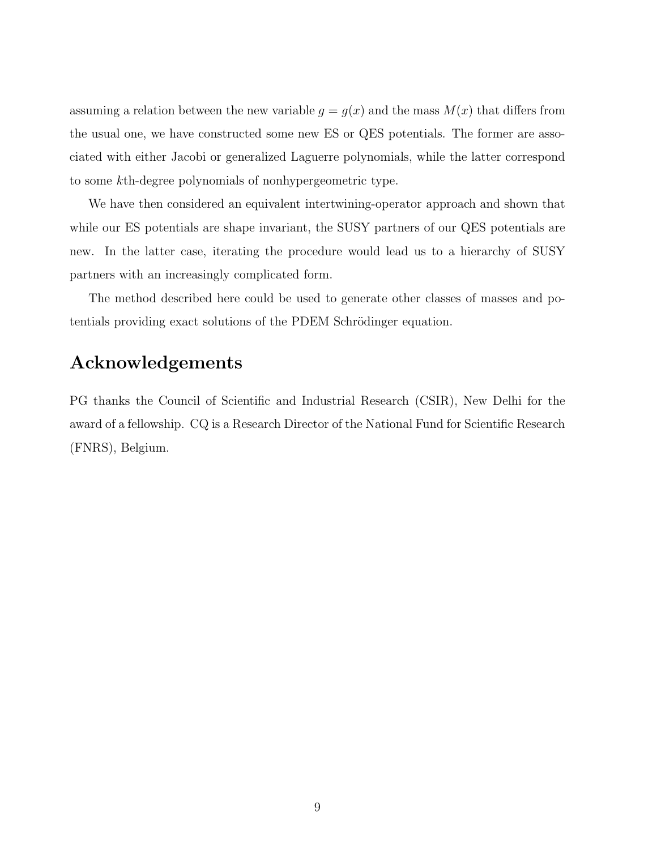assuming a relation between the new variable  $g = g(x)$  and the mass  $M(x)$  that differs from the usual one, we have constructed some new ES or QES potentials. The former are associated with either Jacobi or generalized Laguerre polynomials, while the latter correspond to some kth-degree polynomials of nonhypergeometric type.

We have then considered an equivalent intertwining-operator approach and shown that while our ES potentials are shape invariant, the SUSY partners of our QES potentials are new. In the latter case, iterating the procedure would lead us to a hierarchy of SUSY partners with an increasingly complicated form.

The method described here could be used to generate other classes of masses and potentials providing exact solutions of the PDEM Schrödinger equation.

### Acknowledgements

PG thanks the Council of Scientific and Industrial Research (CSIR), New Delhi for the award of a fellowship. CQ is a Research Director of the National Fund for Scientific Research (FNRS), Belgium.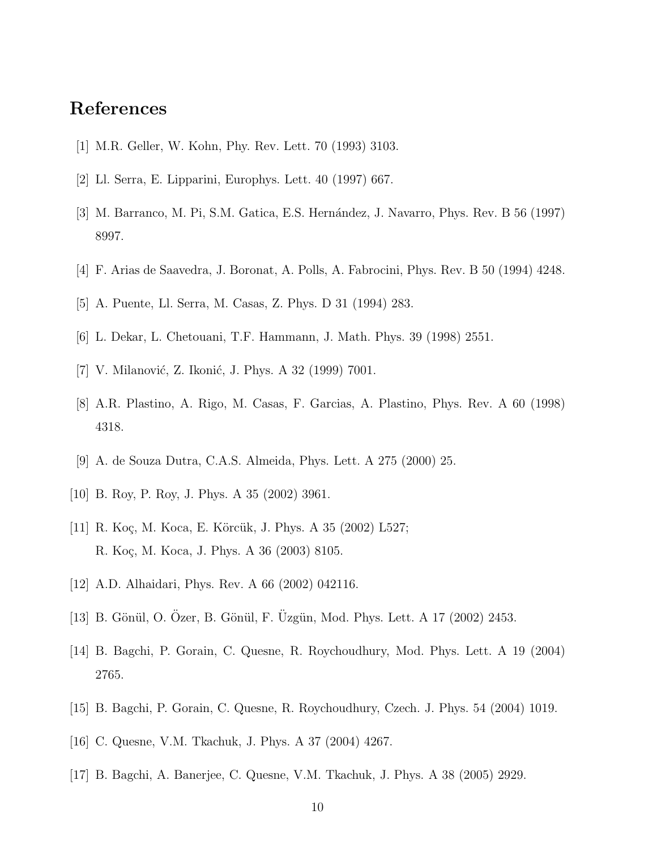### References

- [1] M.R. Geller, W. Kohn, Phy. Rev. Lett. 70 (1993) 3103.
- [2] Ll. Serra, E. Lipparini, Europhys. Lett. 40 (1997) 667.
- [3] M. Barranco, M. Pi, S.M. Gatica, E.S. Hernández, J. Navarro, Phys. Rev. B 56 (1997) 8997.
- [4] F. Arias de Saavedra, J. Boronat, A. Polls, A. Fabrocini, Phys. Rev. B 50 (1994) 4248.
- [5] A. Puente, Ll. Serra, M. Casas, Z. Phys. D 31 (1994) 283.
- [6] L. Dekar, L. Chetouani, T.F. Hammann, J. Math. Phys. 39 (1998) 2551.
- [7] V. Milanović, Z. Ikonić, J. Phys. A 32 (1999) 7001.
- [8] A.R. Plastino, A. Rigo, M. Casas, F. Garcias, A. Plastino, Phys. Rev. A 60 (1998) 4318.
- [9] A. de Souza Dutra, C.A.S. Almeida, Phys. Lett. A 275 (2000) 25.
- [10] B. Roy, P. Roy, J. Phys. A 35 (2002) 3961.
- [11] R. Koç, M. Koca, E. Körcük, J. Phys. A 35 (2002) L527; R. Koç, M. Koca, J. Phys. A 36 (2003) 8105.
- [12] A.D. Alhaidari, Phys. Rev. A 66 (2002) 042116.
- [13] B. Gönül, O. Ozer, B. Gönül, F. Uzgün, Mod. Phys. Lett. A 17 (2002) 2453.
- [14] B. Bagchi, P. Gorain, C. Quesne, R. Roychoudhury, Mod. Phys. Lett. A 19 (2004) 2765.
- [15] B. Bagchi, P. Gorain, C. Quesne, R. Roychoudhury, Czech. J. Phys. 54 (2004) 1019.
- [16] C. Quesne, V.M. Tkachuk, J. Phys. A 37 (2004) 4267.
- [17] B. Bagchi, A. Banerjee, C. Quesne, V.M. Tkachuk, J. Phys. A 38 (2005) 2929.